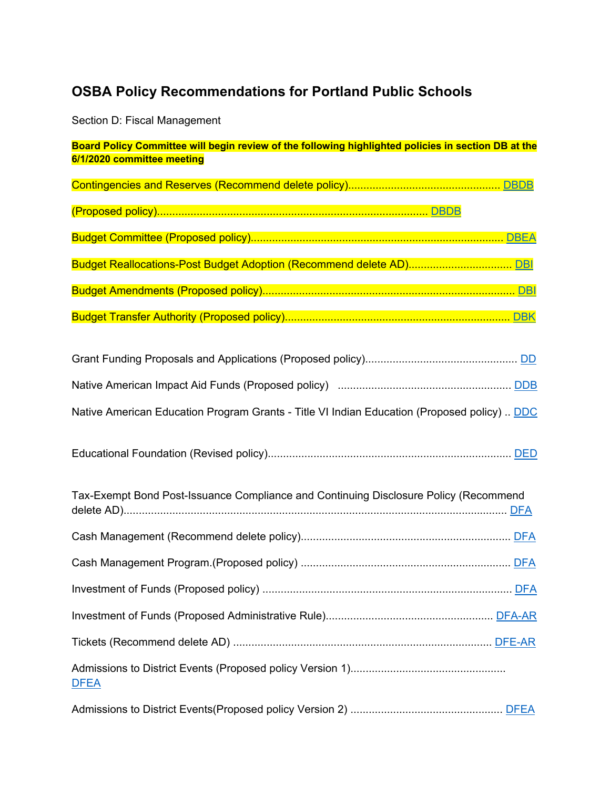# **OSBA Policy Recommendations for Portland Public Schools**

Section D: Fiscal Management

| Board Policy Committee will begin review of the following highlighted policies in section DB at the<br>6/1/2020 committee meeting |  |  |
|-----------------------------------------------------------------------------------------------------------------------------------|--|--|
|                                                                                                                                   |  |  |
|                                                                                                                                   |  |  |
|                                                                                                                                   |  |  |
| Budget Reallocations-Post Budget Adoption (Recommend delete AD) DBI                                                               |  |  |
|                                                                                                                                   |  |  |
|                                                                                                                                   |  |  |
|                                                                                                                                   |  |  |
|                                                                                                                                   |  |  |
|                                                                                                                                   |  |  |
| Native American Education Program Grants - Title VI Indian Education (Proposed policy)  DDC                                       |  |  |
|                                                                                                                                   |  |  |
| Tax-Exempt Bond Post-Issuance Compliance and Continuing Disclosure Policy (Recommend                                              |  |  |
|                                                                                                                                   |  |  |
|                                                                                                                                   |  |  |
|                                                                                                                                   |  |  |
|                                                                                                                                   |  |  |
|                                                                                                                                   |  |  |
| <b>DFEA</b>                                                                                                                       |  |  |
|                                                                                                                                   |  |  |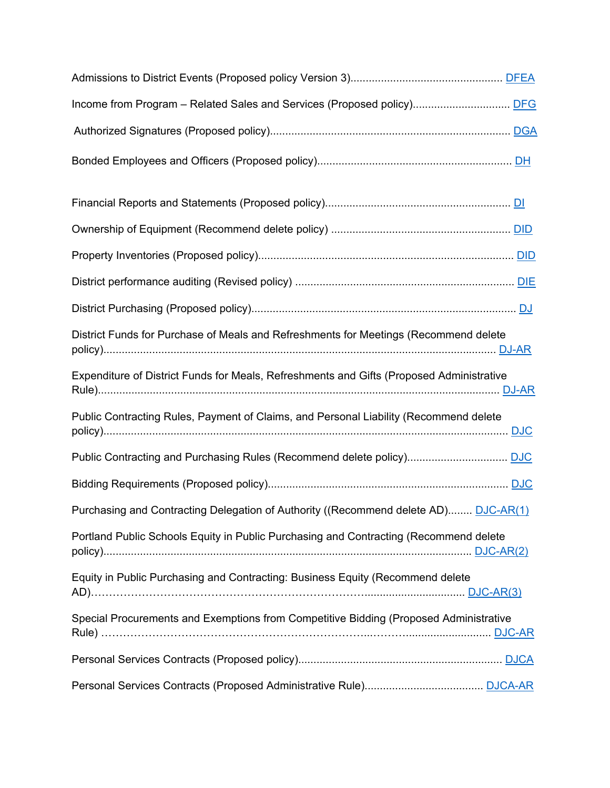| District Funds for Purchase of Meals and Refreshments for Meetings (Recommend delete     |
|------------------------------------------------------------------------------------------|
| Expenditure of District Funds for Meals, Refreshments and Gifts (Proposed Administrative |
| Public Contracting Rules, Payment of Claims, and Personal Liability (Recommend delete    |
|                                                                                          |
|                                                                                          |
| Purchasing and Contracting Delegation of Authority ((Recommend delete AD) DJC-AR(1)      |
| Portland Public Schools Equity in Public Purchasing and Contracting (Recommend delete    |
| Equity in Public Purchasing and Contracting: Business Equity (Recommend delete           |
| Special Procurements and Exemptions from Competitive Bidding (Proposed Administrative    |
|                                                                                          |
|                                                                                          |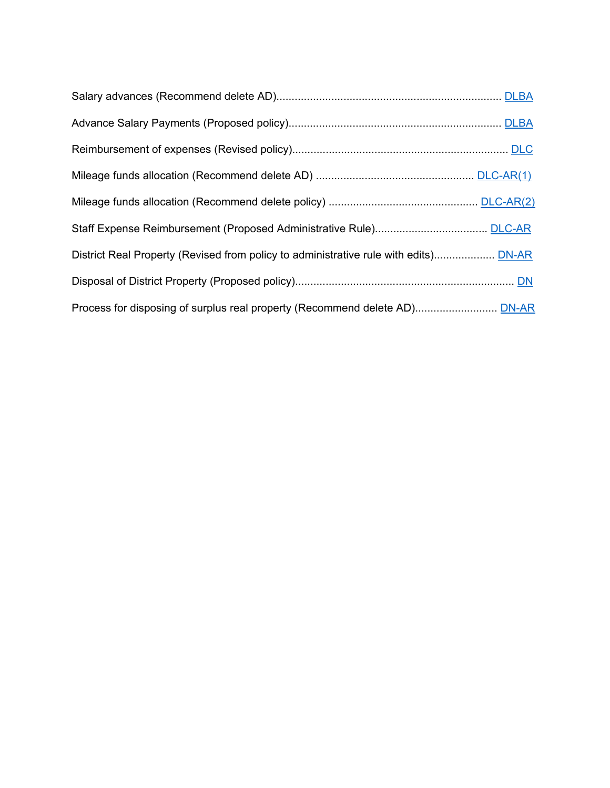| District Real Property (Revised from policy to administrative rule with edits) DN-AR |  |
|--------------------------------------------------------------------------------------|--|
|                                                                                      |  |
|                                                                                      |  |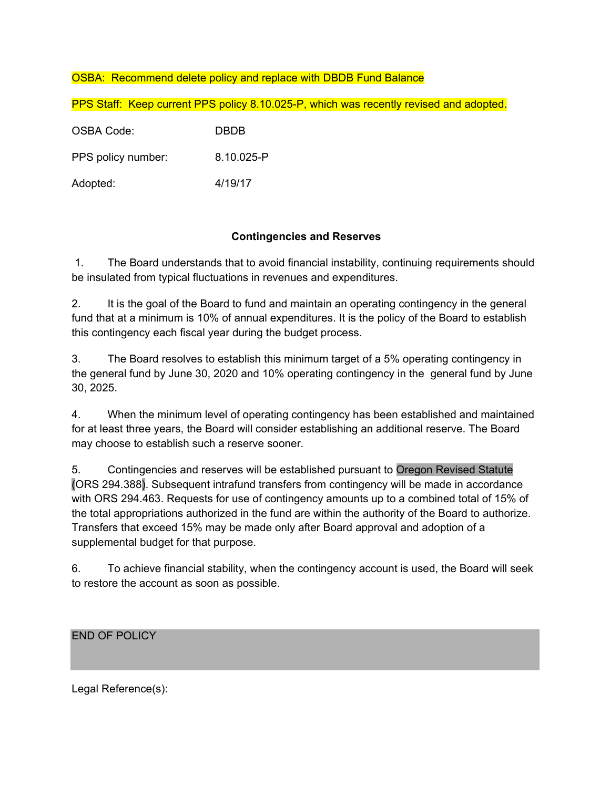## OSBA: Recommend delete policy and replace with DBDB Fund Balance

| PPS Staff: Keep current PPS policy 8.10.025-P, which was recently revised and adopted. |             |  |
|----------------------------------------------------------------------------------------|-------------|--|
| OSBA Code:                                                                             | <b>DBDB</b> |  |
| PPS policy number:                                                                     | 8.10.025-P  |  |
| Adopted:                                                                               | 4/19/17     |  |

#### **Contingencies and Reserves**

 1. The Board understands that to avoid financial instability, continuing requirements should be insulated from typical fluctuations in revenues and expenditures.

2. It is the goal of the Board to fund and maintain an operating contingency in the general fund that at a minimum is 10% of annual expenditures. It is the policy of the Board to establish this contingency each fiscal year during the budget process.

3. The Board resolves to establish this minimum target of a 5% operating contingency in the general fund by June 30, 2020 and 10% operating contingency in the general fund by June 30, 2025.

4. When the minimum level of operating contingency has been established and maintained for at least three years, the Board will consider establishing an additional reserve. The Board may choose to establish such a reserve sooner.

5. Contingencies and reserves will be established pursuant to Oregon Revised Statute (ORS 294.388). Subsequent intrafund transfers from contingency will be made in accordance with ORS 294.463. Requests for use of contingency amounts up to a combined total of 15% of the total appropriations authorized in the fund are within the authority of the Board to authorize. Transfers that exceed 15% may be made only after Board approval and adoption of a supplemental budget for that purpose.

6. To achieve financial stability, when the contingency account is used, the Board will seek to restore the account as soon as possible.

END OF POLICY

Legal Reference(s):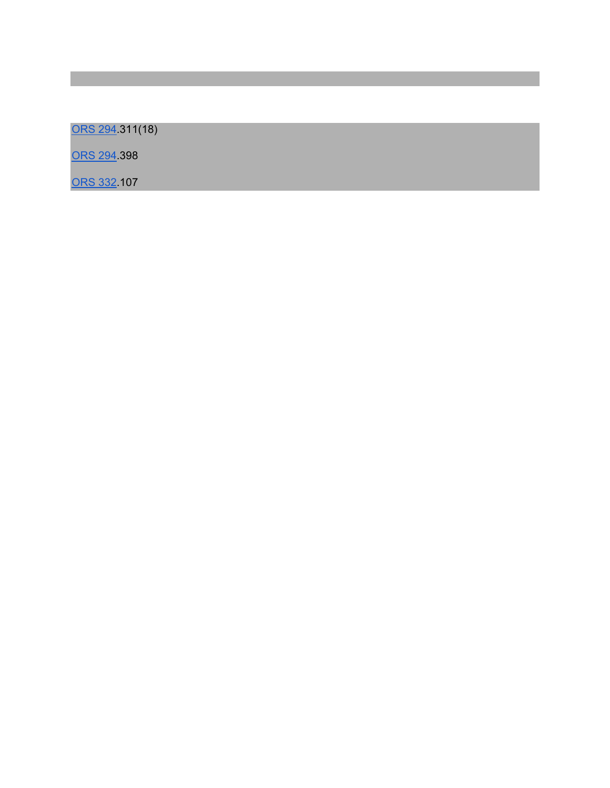ORS 294.311(18)

ORS 294.398

ORS 332.107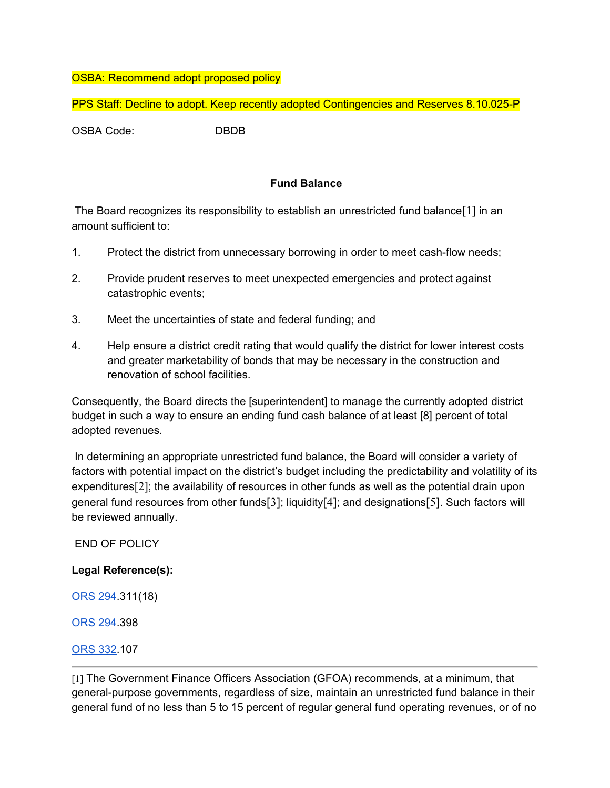### OSBA: Recommend adopt proposed policy

PPS Staff: Decline to adopt. Keep recently adopted Contingencies and Reserves 8.10.025-P

OSBA Code: DBDB

## **Fund Balance**

 The Board recognizes its responsibility to establish an unrestricted fund balance[1] in an amount sufficient to:

- 1. Protect the district from unnecessary borrowing in order to meet cash-flow needs;
- 2. Provide prudent reserves to meet unexpected emergencies and protect against catastrophic events;
- 3. Meet the uncertainties of state and federal funding; and
- 4. Help ensure a district credit rating that would qualify the district for lower interest costs and greater marketability of bonds that may be necessary in the construction and renovation of school facilities.

Consequently, the Board directs the [superintendent] to manage the currently adopted district budget in such a way to ensure an ending fund cash balance of at least [8] percent of total adopted revenues.

 In determining an appropriate unrestricted fund balance, the Board will consider a variety of factors with potential impact on the district's budget including the predictability and volatility of its expenditures[2]; the availability of resources in other funds as well as the potential drain upon general fund resources from other funds[3]; liquidity[4]; and designations[5]. Such factors will be reviewed annually.

END OF POLICY

#### **Legal Reference(s):**

ORS 294.311(18)

ORS 294.398

ORS 332.107

[1] The Government Finance Officers Association (GFOA) recommends, at a minimum, that general-purpose governments, regardless of size, maintain an unrestricted fund balance in their general fund of no less than 5 to 15 percent of regular general fund operating revenues, or of no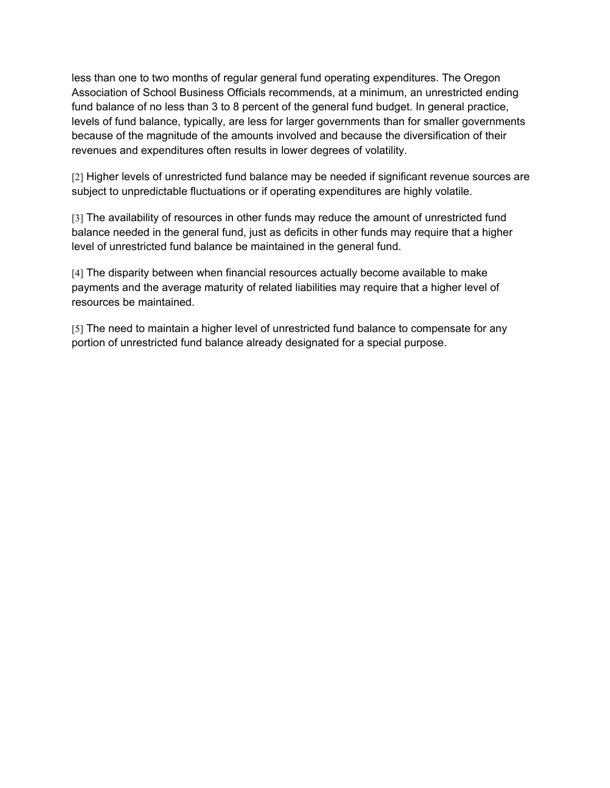less than one to two months of regular general fund operating expenditures. The Oregon Association of School Business Officials recommends, at a minimum, an unrestricted ending fund balance of no less than 3 to 8 percent of the general fund budget. In general practice, levels of fund balance, typically, are less for larger governments than for smaller governments because of the magnitude of the amounts involved and because the diversification of their revenues and expenditures often results in lower degrees of volatility.

[2] Higher levels of unrestricted fund balance may be needed if significant revenue sources are subject to unpredictable fluctuations or if operating expenditures are highly volatile.

[3] The availability of resources in other funds may reduce the amount of unrestricted fund balance needed in the general fund, just as deficits in other funds may require that a higher level of unrestricted fund balance be maintained in the general fund.

[4] The disparity between when financial resources actually become available to make payments and the average maturity of related liabilities may require that a higher level of resources be maintained.

[5] The need to maintain a higher level of unrestricted fund balance to compensate for any portion of unrestricted fund balance already designated for a special purpose.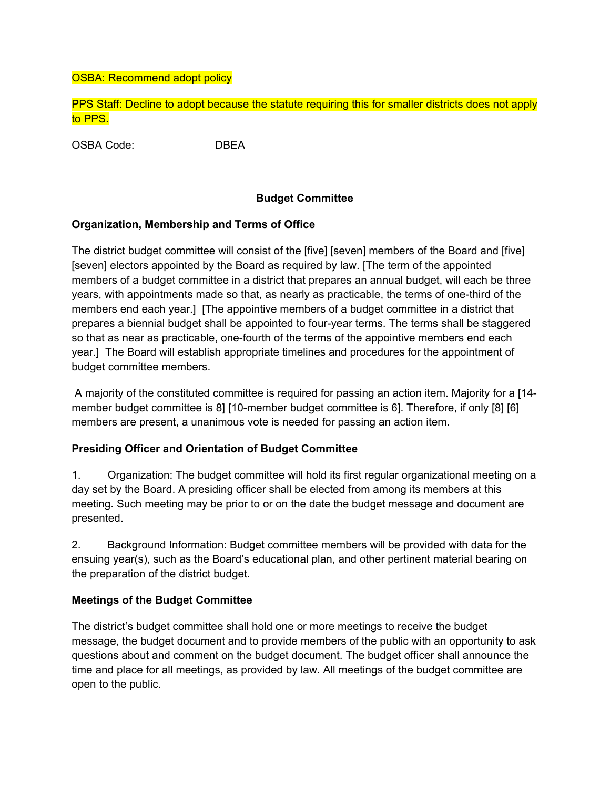### OSBA: Recommend adopt policy

PPS Staff: Decline to adopt because the statute requiring this for smaller districts does not apply to PPS.

OSBA Code: DBEA

#### **Budget Committee**

#### **Organization, Membership and Terms of Office**

The district budget committee will consist of the [five] [seven] members of the Board and [five] [seven] electors appointed by the Board as required by law. [The term of the appointed members of a budget committee in a district that prepares an annual budget, will each be three years, with appointments made so that, as nearly as practicable, the terms of one-third of the members end each year.] [The appointive members of a budget committee in a district that prepares a biennial budget shall be appointed to four-year terms. The terms shall be staggered so that as near as practicable, one-fourth of the terms of the appointive members end each year.] The Board will establish appropriate timelines and procedures for the appointment of budget committee members.

 A majority of the constituted committee is required for passing an action item. Majority for a [14 member budget committee is 8] [10-member budget committee is 6]. Therefore, if only [8] [6] members are present, a unanimous vote is needed for passing an action item.

#### **Presiding Officer and Orientation of Budget Committee**

1. Organization: The budget committee will hold its first regular organizational meeting on a day set by the Board. A presiding officer shall be elected from among its members at this meeting. Such meeting may be prior to or on the date the budget message and document are presented.

2. Background Information: Budget committee members will be provided with data for the ensuing year(s), such as the Board's educational plan, and other pertinent material bearing on the preparation of the district budget.

#### **Meetings of the Budget Committee**

The district's budget committee shall hold one or more meetings to receive the budget message, the budget document and to provide members of the public with an opportunity to ask questions about and comment on the budget document. The budget officer shall announce the time and place for all meetings, as provided by law. All meetings of the budget committee are open to the public.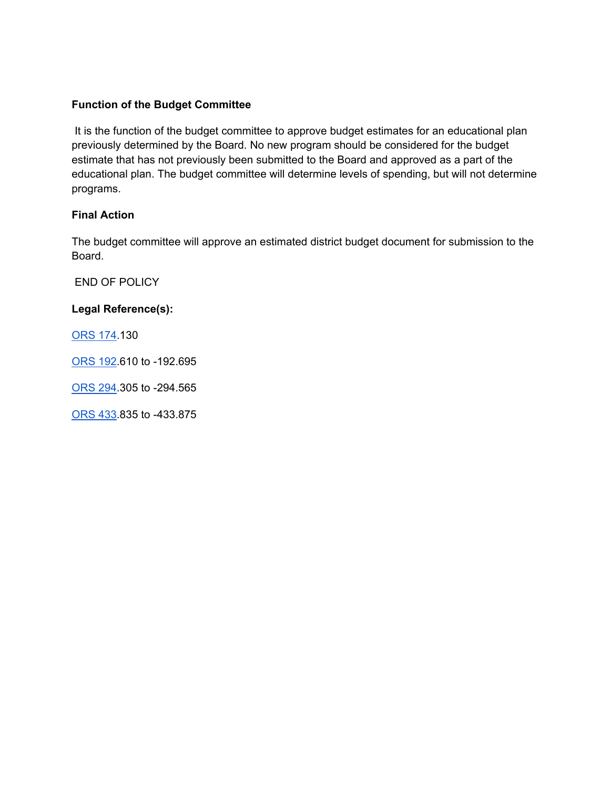## **Function of the Budget Committee**

 It is the function of the budget committee to approve budget estimates for an educational plan previously determined by the Board. No new program should be considered for the budget estimate that has not previously been submitted to the Board and approved as a part of the educational plan. The budget committee will determine levels of spending, but will not determine programs.

## **Final Action**

The budget committee will approve an estimated district budget document for submission to the Board.

END OF POLICY

**Legal Reference(s):** 

ORS 174.130

ORS 192.610 to -192.695

ORS 294.305 to -294.565

ORS 433.835 to -433.875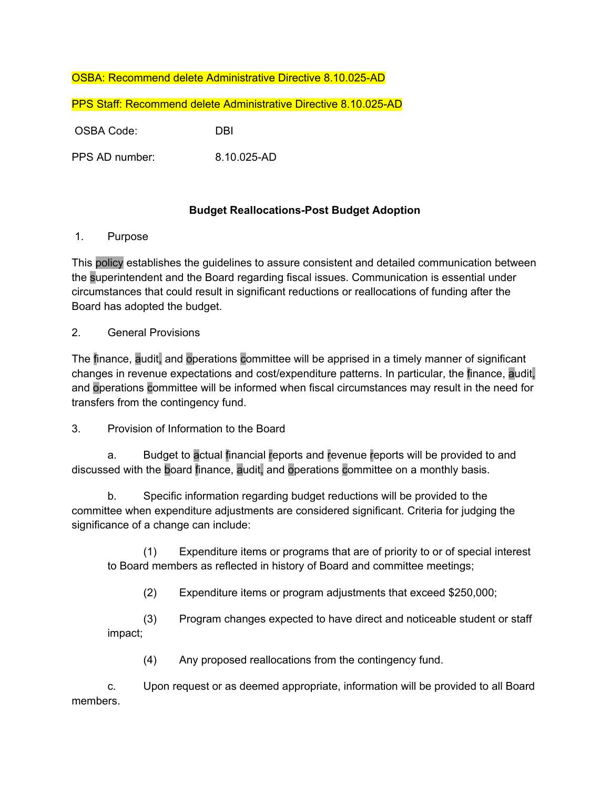## OSBA: Recommend delete Administrative Directive 8.10.025-AD

PPS Staff: Recommend delete Administrative Directive 8.10.025-AD

OSBA Code: DBI

PPS AD number: 8.10.025-AD

## **Budget Reallocations-Post Budget Adoption**

1. Purpose

This policy establishes the guidelines to assure consistent and detailed communication between the superintendent and the Board regarding fiscal issues. Communication is essential under circumstances that could result in significant reductions or reallocations of funding after the Board has adopted the budget.

## 2. General Provisions

The finance, audit, and operations committee will be apprised in a timely manner of significant changes in revenue expectations and cost/expenditure patterns. In particular, the finance, audit, and operations committee will be informed when fiscal circumstances may result in the need for transfers from the contingency fund.

## 3. Provision of Information to the Board

a. Budget to actual financial reports and revenue reports will be provided to and discussed with the board finance, audit, and operations committee on a monthly basis.

b. Specific information regarding budget reductions will be provided to the committee when expenditure adjustments are considered significant. Criteria for judging the significance of a change can include:

(1) Expenditure items or programs that are of priority to or of special interest to Board members as reflected in history of Board and committee meetings;

(2) Expenditure items or program adjustments that exceed \$250,000;

(3) Program changes expected to have direct and noticeable student or staff impact;

(4) Any proposed reallocations from the contingency fund.

c. Upon request or as deemed appropriate, information will be provided to all Board members.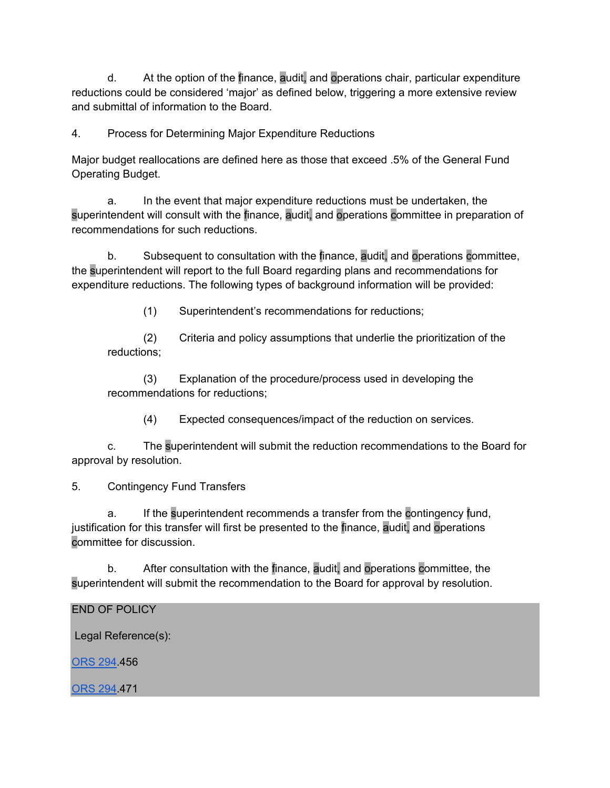d. At the option of the finance, audit, and operations chair, particular expenditure reductions could be considered 'major' as defined below, triggering a more extensive review and submittal of information to the Board.

4. Process for Determining Major Expenditure Reductions

Major budget reallocations are defined here as those that exceed .5% of the General Fund Operating Budget.

a. In the event that major expenditure reductions must be undertaken, the superintendent will consult with the finance, audit, and operations committee in preparation of recommendations for such reductions.

b. Subsequent to consultation with the finance, audit, and operations committee, the superintendent will report to the full Board regarding plans and recommendations for expenditure reductions. The following types of background information will be provided:

(1) Superintendent's recommendations for reductions;

(2) Criteria and policy assumptions that underlie the prioritization of the reductions;

(3) Explanation of the procedure/process used in developing the recommendations for reductions;

(4) Expected consequences/impact of the reduction on services.

c. The superintendent will submit the reduction recommendations to the Board for approval by resolution.

5. Contingency Fund Transfers

a. If the superintendent recommends a transfer from the contingency fund, justification for this transfer will first be presented to the finance, audit, and operations committee for discussion.

b. After consultation with the finance, audit, and operations committee, the superintendent will submit the recommendation to the Board for approval by resolution.

END OF POLICY

Legal Reference(s):

ORS 294.456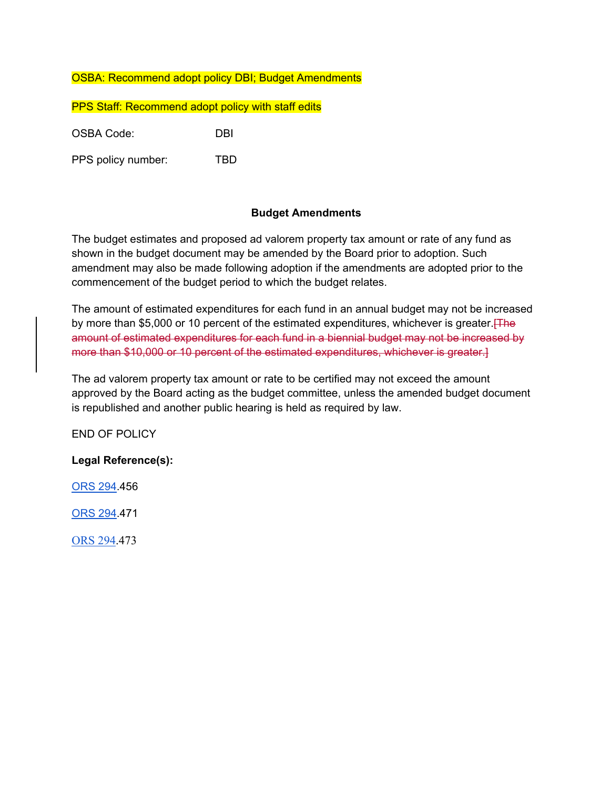## OSBA: Recommend adopt policy DBI; Budget Amendments

PPS Staff: Recommend adopt policy with staff edits

OSBA Code: DBI

PPS policy number: TBD

#### **Budget Amendments**

The budget estimates and proposed ad valorem property tax amount or rate of any fund as shown in the budget document may be amended by the Board prior to adoption. Such amendment may also be made following adoption if the amendments are adopted prior to the commencement of the budget period to which the budget relates.

The amount of estimated expenditures for each fund in an annual budget may not be increased by more than \$5,000 or 10 percent of the estimated expenditures, whichever is greater. The amount of estimated expenditures for each fund in a biennial budget may not be increased by more than \$10,000 or 10 percent of the estimated expenditures, whichever is greater.]

The ad valorem property tax amount or rate to be certified may not exceed the amount approved by the Board acting as the budget committee, unless the amended budget document is republished and another public hearing is held as required by law.

END OF POLICY

#### **Legal Reference(s):**

ORS 294.456

ORS 294.471